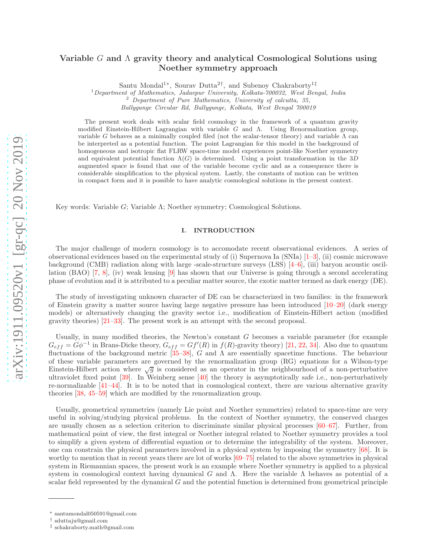# arXiv:1911.09520v1 [gr-qc] 20 Nov 2019 [arXiv:1911.09520v1 \[gr-qc\] 20 Nov 2019](http://arxiv.org/abs/1911.09520v1)

# Variable G and  $\Lambda$  gravity theory and analytical Cosmological Solutions using Noether symmetry approach

Santu Mondal<sup>1</sup><sup>\*</sup>, Sourav Dutta<sup>2†</sup>, and Subenoy Chakraborty<sup>1‡</sup>

<sup>1</sup>Department of Mathematics, Jadavpur University, Kolkata-700032, West Bengal, India  $2$  Department of Pure Mathematics, University of calcutta, 35,

Ballygunge Circular Rd, Ballygunge, Kolkata, West Bengal 700019

The present work deals with scalar field cosmology in the framework of a quantum gravity modified Einstein-Hilbert Lagrangian with variable  $G$  and  $\Lambda$ . Using Renormalization group, variable G behaves as a minimally coupled filed (not the scalar-tensor theory) and variable  $\Lambda$  can be interpreted as a potential function. The point Lagrangian for this model in the background of homogeneous and isotropic flat FLRW space-time model experiences point-like Noether symmetry and equivalent potential function  $\Lambda(G)$  is determined. Using a point transformation in the 3D augmented space is found that one of the variable become cyclic and as a consequence there is considerable simplification to the physical system. Lastly, the constants of motion can be written in compact form and it is possible to have analytic cosmological solutions in the present context.

Key words: Variable  $G$ ; Variable  $\Lambda$ ; Noether symmetry; Cosmological Solutions.

# I. INTRODUCTION

The major challenge of modern cosmology is to accomodate recent observational evidences. A series of observational evidences based on the experimental study of (i) Supernova Ia (SNIa) [\[1](#page-6-0)[–3\]](#page-6-1), (ii) cosmic microwave background (CMB) radiation along with large -scale-structure surveys (LSS) [\[4](#page-6-2)[–6\]](#page-6-3), (iii) baryon acoustic oscillation (BAO) [\[7](#page-6-4), [8\]](#page-6-5), (iv) weak lensing [\[9](#page-6-6)] has shown that our Universe is going through a second accelerating phase of evolution and it is attributed to a peculiar matter source, the exotic matter termed as dark energy (DE).

The study of investigating unknown character of DE can be characterized in two families: in the framework of Einstein gravity a matter source having large negative pressure has been introduced [\[10](#page-6-7)[–20](#page-7-0)] (dark energy models) or alternatively changing the gravity sector i.e., modification of Einstein-Hilbert action (modified gravity theories) [\[21](#page-7-1)[–33\]](#page-7-2). The present work is an attempt with the second proposal.

Usually, in many modified theories, the Newton's constant  $G$  becomes a variable parameter (for example  $G_{eff} = G\phi^{-1}$  in Brans-Dicke theory,  $G_{eff} = Gf'(R)$  in  $f(R)$ -gravity theory) [\[21](#page-7-1), [22](#page-7-3), [34\]](#page-7-4). Also due to quantum fluctuations of the background metric [\[35](#page-7-5)[–38\]](#page-7-6), G and  $\Lambda$  are essentially spacetime functions. The behaviour of these variable parameters are governed by the renormalization group (RG) equations for a Wilson-type Einstein-Hilbert action where  $\sqrt{g}$  is considered as an operator in the neighbourhood of a non-perturbative ultraviolet fixed point [\[39\]](#page-7-7). In Weinberg sense [\[40](#page-7-8)] the theory is asymptotically safe i.e., non-perturbatively re-normalizable  $[41-44]$ . It is to be noted that in cosmological context, there are various alternative gravity theories [\[38](#page-7-6), [45](#page-7-11)[–59](#page-8-0)] which are modified by the renormalization group.

Usually, geometrical symmetries (namely Lie point and Noether symmetries) related to space-time are very useful in solving/studying physical problems. In the context of Noether symmetry, the conserved charges are usually chosen as a selection criterion to discriminate similar physical processes [\[60](#page-8-1)[–67](#page-8-2)]. Further, from mathematical point of view, the first integral or Noether integral related to Noether symmetry provides a tool to simplify a given system of differential equation or to determine the integrability of the system. Moreover, one can constrain the physical parameters involved in a physical system by imposing the symmetry [\[68\]](#page-8-3). It is worthy to mention that in recent years there are lot of works [\[69](#page-8-4)[–75](#page-8-5)] related to the above symmetries in physical system in Riemannian spaces, the present work is an example where Noether symmetry is applied to a physical system in cosmological context having dynamical G and  $\Lambda$ . Here the variable  $\Lambda$  behaves as potential of a scalar field represented by the dynamical  $G$  and the potential function is determined from geometrical principle

<sup>∗</sup> santumondal050591@gmail.com

<sup>†</sup> sduttaju@gmail.com

<sup>‡</sup> schakraborty.math@gmail.com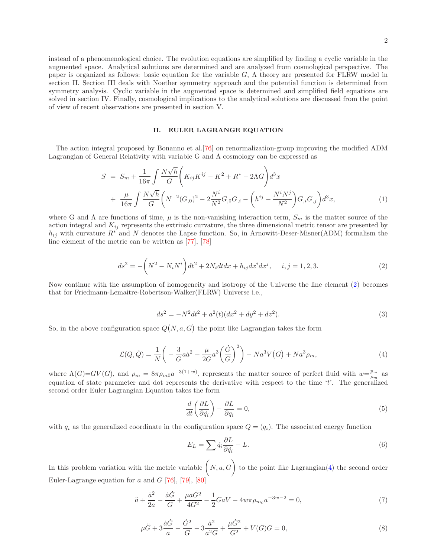instead of a phenomenological choice. The evolution equations are simplified by finding a cyclic variable in the augmented space. Analytical solutions are determined and are analyzed from cosmological perspective. The paper is organized as follows: basic equation for the variable  $G$ ,  $\Lambda$  theory are presented for FLRW model in section II. Section III deals with Noether symmetry approach and the potential function is determined from symmetry analysis. Cyclic variable in the augmented space is determined and simplified field equations are solved in section IV. Finally, cosmological implications to the analytical solutions are discussed from the point of view of recent observations are presented in section V.

# II. EULER LAGRANGE EQUATION

The action integral proposed by Bonanno et al.[\[76\]](#page-8-6) on renormalization-group improving the modified ADM Lagrangian of General Relativity with variable G and Λ cosmology can be expressed as

$$
S = S_m + \frac{1}{16\pi} \int \frac{N\sqrt{h}}{G} \left( K_{ij} K^{ij} - K^2 + R^* - 2\Lambda G \right) d^3 x
$$
  
+ 
$$
\frac{\mu}{16\pi} \int \frac{N\sqrt{h}}{G} \left( N^{-2} (G_{,0})^2 - 2\frac{N^i}{N^2} G_{,0} G_{,i} - \left( h^{ij} - \frac{N^i N^j}{N^2} \right) G_{,i} G_{,j} \right) d^3 x,
$$
 (1)

<span id="page-1-0"></span>where G and  $\Lambda$  are functions of time,  $\mu$  is the non-vanishing interaction term,  $S_m$  is the matter source of the action integral and  $K_{ij}$  represents the extrinsic curvature, the three dimensional metric tensor are presented by  $h_{ij}$  with curvature  $R^*$  and N denotes the Lapse function. So, in Arnowitt-Deser-Misner(ADM) formalism the line element of the metric can be written as [\[77](#page-8-7)], [\[78\]](#page-8-8)

$$
ds^{2} = -\left(N^{2} - N_{i}N^{i}\right)dt^{2} + 2N_{i}dtdx + h_{ij}dx^{i}dx^{j}, \quad i, j = 1, 2, 3.
$$
 (2)

Now continue with the assumption of homogeneity and isotropy of the Universe the line element [\(2\)](#page-1-0) becomes that for Friedmann-Lemaitre-Robertson-Walker(FLRW) Universe i.e.,

$$
ds^{2} = -N^{2}dt^{2} + a^{2}(t)(dx^{2} + dy^{2} + dz^{2}).
$$
\n(3)

<span id="page-1-1"></span>So, in the above configuration space  $Q(N, a, G)$  the point like Lagrangian takes the form

$$
\mathcal{L}(Q, \dot{Q}) = \frac{1}{N} \left( -\frac{3}{G} a \dot{a}^2 + \frac{\mu}{2G} a^3 \left( \frac{\dot{G}}{G} \right)^2 \right) - N a^3 V(G) + N a^3 \rho_m, \tag{4}
$$

where  $\Lambda(G)=GV(G)$ , and  $\rho_m=8\pi\rho_{m0}a^{-3(1+w)}$ , represents the matter source of perfect fluid with  $w=\frac{p_m}{\rho_m}$  as equation of state parameter and dot represents the derivative with respect to the time 't'. The generalized second order Euler Lagrangian Equation takes the form

$$
\frac{d}{dt}\left(\frac{\partial L}{\partial \dot{q}_i}\right) - \frac{\partial L}{\partial q_i} = 0,\tag{5}
$$

with  $q_i$  as the generalized coordinate in the configuration space  $Q = (q_i)$ . The associated energy function

<span id="page-1-2"></span>
$$
E_L = \sum \dot{q}_i \frac{\partial L}{\partial \dot{q}_i} - L. \tag{6}
$$

In this problem variation with the metric variable  $(N, a, G)$  to the point like Lagrangian[\(4\)](#page-1-1) the second order Euler-Lagrange equation for  $a$  and  $G$  [\[76\]](#page-8-6), [\[79\]](#page-9-0), [\[80](#page-9-1)]

$$
\ddot{a} + \frac{\dot{a}^2}{2a} - \frac{\dot{a}\dot{G}}{G} + \frac{\mu a \dot{G}^2}{4G^2} - \frac{1}{2}GaV - 4w\pi \rho_{m_0} a^{-3w-2} = 0,\tag{7}
$$

<span id="page-1-3"></span>
$$
\mu \ddot{G} + 3\frac{\dot{a}\dot{G}}{a} - \frac{\dot{G}^2}{G} - 3\frac{\dot{a}^2}{a^2 G} + \frac{\mu \dot{G}^2}{G^2} + V(G)G = 0,
$$
\n(8)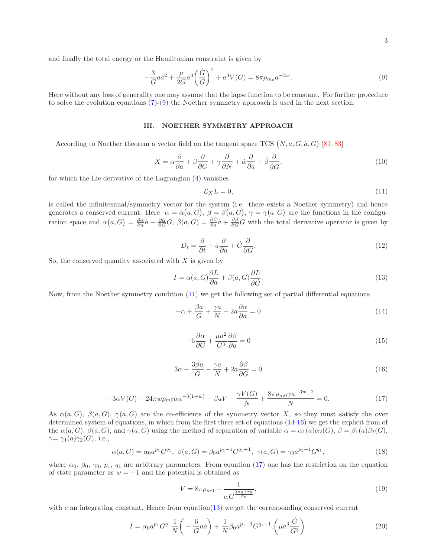and finally the total energy or the Hamiltonian constraint is given by

<span id="page-2-0"></span>
$$
-\frac{3}{G}a\dot{a}^2 + \frac{\mu}{2G}a^3\left(\frac{\dot{G}}{G}\right)^2 + a^3V(G) = 8\pi\rho_{m_0}a^{-3w}.
$$
\n(9)

Here without any loss of generality one may assume that the lapse function to be constant. For further procedure to solve the evolution equations [\(7\)](#page-1-2)-[\(9\)](#page-2-0) the Noether symmetry approach is used in the next section.

### III. NOETHER SYMMETRY APPROACH

According to Noether theorem a vector field on the tangent space TCS  $(N, a, G, \dot{a}, \dot{G})$  [\[81](#page-9-2)[–83](#page-9-3)]

$$
X = \alpha \frac{\partial}{\partial a} + \beta \frac{\partial}{\partial G} + \gamma \frac{\partial}{\partial N} + \dot{\alpha} \frac{\partial}{\partial \dot{a}} + \dot{\beta} \frac{\partial}{\partial \dot{G}},\tag{10}
$$

for which the Lie derivative of the Lagrangian [\(4\)](#page-1-1) vanishes

<span id="page-2-1"></span>
$$
\mathcal{L}_X L = 0,\tag{11}
$$

is called the infinitesimal/symmetry vector for the system (i.e. there exists a Noether symmetry) and hence generates a conserved current. Here  $\alpha = \alpha(a, G)$ ,  $\beta = \beta(a, G)$ ,  $\gamma = \gamma(a, G)$  are the functions in the configuration space and  $\dot{\alpha}(a, G) = \frac{\partial \alpha}{\partial a}\dot{a} + \frac{\partial \alpha}{\partial G}\dot{G}$ ,  $\dot{\beta}(a, G) = \frac{\partial \beta}{\partial a}\dot{a} + \frac{\partial \beta}{\partial G}\dot{G}$  with the total derivative operator is given by

<span id="page-2-5"></span>
$$
D_t = \frac{\partial}{\partial t} + \dot{a}\frac{\partial}{\partial a} + \dot{G}\frac{\partial}{\partial G}.\tag{12}
$$

So, the conserved quantity associated with  $X$  is given by

$$
I = \alpha(a, G)\frac{\partial L}{\partial \dot{a}} + \beta(a, G)\frac{\partial L}{\partial \dot{G}}.
$$
\n(13)

<span id="page-2-3"></span>Now, from the Noether symmetry condition [\(11\)](#page-2-1) we get the following set of partial differential equations

$$
-\alpha + \frac{\beta a}{G} + \frac{\gamma a}{N} - 2a \frac{\partial \alpha}{\partial a} = 0
$$
\n(14)

<span id="page-2-2"></span>
$$
-6\frac{\partial \alpha}{\partial G} + \frac{\mu a^2}{G^3} \frac{\partial \beta}{\partial a} = 0
$$
\n(15)

$$
3\alpha - \frac{3\beta a}{G} - \frac{\gamma a}{N} + 2a\frac{\partial \beta}{\partial G} = 0\tag{16}
$$

$$
-3\alpha V(G) - 24\pi w \rho_{m0} \alpha a^{-3(1+w)} - \beta a V - \frac{\gamma V(G)}{N} + \frac{8\pi \rho_{m0} \gamma a^{-3w-2}}{N} = 0.
$$
 (17)

<span id="page-2-4"></span>As  $\alpha(a, G)$ ,  $\beta(a, G)$ ,  $\gamma(a, G)$  are the co-efficients of the symmetry vector X, so they must satisfy the over determined system of equations, in which from the first three set of equations [\(14-](#page-2-2)[16\)](#page-2-3) we get the explicit from of the  $\alpha(a, G)$ ,  $\beta(a, G)$ , and  $\gamma(a, G)$  using the method of separation of variable  $\alpha = \alpha_1(a)\alpha_2(G)$ ,  $\beta = \beta_1(a)\beta_2(G)$ ,  $\gamma = \gamma_1(a)\gamma_2(G)$ , i.e.,

$$
\alpha(a,G) = \alpha_0 a^{p_1} G^{q_1}, \ \beta(a,G) = \beta_0 a^{p_1-1} G^{q_1+1}, \ \gamma(a,G) = \gamma_0 a^{p_1-1} G^{q_1},\tag{18}
$$

where  $\alpha_0$ ,  $\beta_0$ ,  $\gamma_0$ ,  $p_1$ ,  $q_1$  are arbitrary parameters. From equation [\(17\)](#page-2-4) one has the restriction on the equation of state parameter as  $w = -1$  and the potential is obtained as

$$
V = 8\pi \rho_{m0} - \frac{1}{c \cdot G^{\frac{3\alpha_0 + \gamma_0}{\beta_0}}},\tag{19}
$$

with c an integrating constant. Hence from equation[\(13\)](#page-2-5) we get the corresponding conserved current

$$
I = \alpha_0 a^{p_1} G^{q_1} \frac{1}{N} \left( -\frac{6}{G} a \dot{a} \right) + \frac{1}{N} \beta_0 a^{p_1 - 1} G^{q_1 + 1} \left( \mu a^3 \frac{\dot{G}}{G^3} \right).
$$
 (20)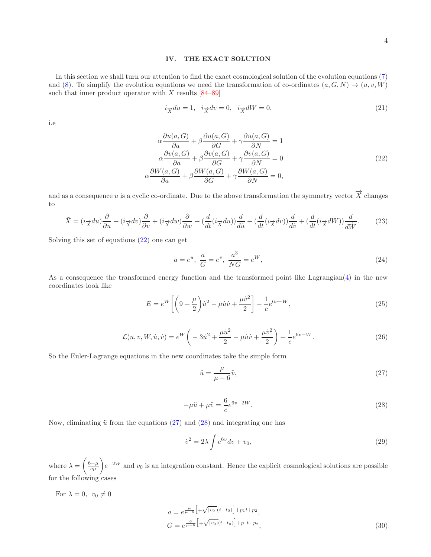### IV. THE EXACT SOLUTION

In this section we shall turn our attention to find the exact cosmological solution of the evolution equations [\(7\)](#page-1-2) and [\(8\)](#page-1-3). To simplify the evolution equations we need the transformation of co-ordinates  $(a, G, N) \rightarrow (u, v, W)$ such that inner product operator with  $X$  results  $[84-89]$ 

$$
i_{\overrightarrow{X}} du = 1, \quad i_{\overrightarrow{X}} dv = 0, \quad i_{\overrightarrow{X}} dW = 0,
$$
\n
$$
(21)
$$

i.e

<span id="page-3-0"></span>
$$
\alpha \frac{\partial u(a, G)}{\partial a} + \beta \frac{\partial u(a, G)}{\partial G} + \gamma \frac{\partial u(a, G)}{\partial N} = 1
$$
  
\n
$$
\alpha \frac{\partial v(a, G)}{\partial a} + \beta \frac{\partial v(a, G)}{\partial G} + \gamma \frac{\partial v(a, G)}{\partial N} = 0
$$
  
\n
$$
\alpha \frac{\partial W(a, G)}{\partial a} + \beta \frac{\partial W(a, G)}{\partial G} + \gamma \frac{\partial W(a, G)}{\partial N} = 0,
$$
\n(22)

and as a consequence u is a cyclic co-ordinate. Due to the above transformation the symmetry vector  $\overrightarrow{X}$  changes to

$$
\tilde{X} = (i_{\vec{X}} du) \frac{\partial}{\partial u} + (i_{\vec{X}} dv) \frac{\partial}{\partial v} + (i_{\vec{X}} dw) \frac{\partial}{\partial w} + (\frac{d}{dt} (i_{\vec{X}} du)) \frac{d}{du} + (\frac{d}{dt} (i_{\vec{X}} dv)) \frac{d}{dv} + (\frac{d}{dt} (i_{\vec{X}} dW)) \frac{d}{dv}.
$$
 (23)

Solving this set of equations [\(22\)](#page-3-0) one can get

$$
a = e^u, \frac{a}{G} = e^v, \frac{a^3}{NG} = e^W,
$$
\n(24)

As a consequence the transformed energy function and the transformed point like Lagrangian[\(4\)](#page-1-1) in the new coordinates look like

$$
E = e^W \left[ \left( 9 + \frac{\mu}{2} \right) \dot{u}^2 - \mu \dot{u}\dot{v} + \frac{\mu \dot{v}^2}{2} \right] - \frac{1}{c} e^{6v - W}, \tag{25}
$$

$$
\mathcal{L}(u, v, W, \dot{u}, \dot{v}) = e^{W} \left( -3\dot{u}^{2} + \frac{\mu \dot{u}^{2}}{2} - \mu \dot{u}\dot{v} + \frac{\mu \dot{v}^{2}}{2} \right) + \frac{1}{c} e^{6v - W}.
$$
\n(26)

<span id="page-3-2"></span>So the Euler-Lagrange equations in the new coordinates take the simple form

<span id="page-3-1"></span>
$$
\ddot{u} = \frac{\mu}{\mu - 6} \ddot{v},\tag{27}
$$

$$
-\mu \ddot{u} + \mu \ddot{v} = \frac{6}{c} e^{6v - 2W}.
$$
\n(28)

Now, eliminating  $\ddot{u}$  from the equations [\(27\)](#page-3-1) and [\(28\)](#page-3-2) and integrating one has

$$
\dot{v}^2 = 2\lambda \int e^{6v} dv + v_0,\tag{29}
$$

where  $\lambda = \left(\frac{6-\mu}{c\mu}\right)e^{-2W}$  and  $v_0$  is an integration constant. Hence the explicit cosmological solutions are possible for the following cases

For  $\lambda = 0, v_0 \neq 0$ 

<span id="page-3-3"></span>
$$
a = e^{\frac{\mu}{\mu - 6} \left[ \mp \sqrt{|v_0|} (t - t_0) \right] + p_1 t + p_2},
$$
  
\n
$$
G = e^{\frac{6}{\mu - 6} \left[ \mp \sqrt{|v_0|} (t - t_0) \right] + p_1 t + p_2},
$$
\n(30)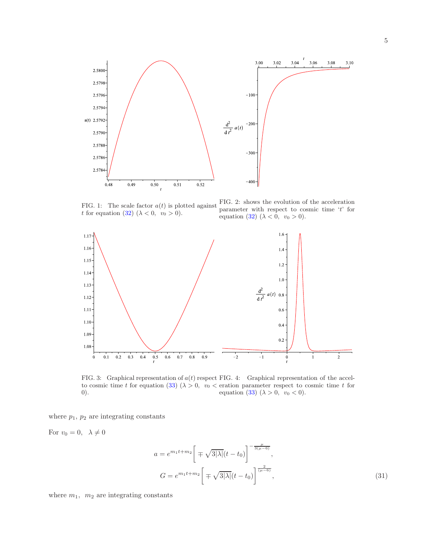

<span id="page-4-0"></span>FIG. 1: The scale factor  $a(t)$  is plotted against t for equation [\(32\)](#page-5-0)  $(\lambda < 0, v_0 > 0)$ .

<span id="page-4-2"></span>FIG. 2: shows the evolution of the acceleration parameter with respect to cosmic time 't' for equation [\(32\)](#page-5-0)  $(\lambda < 0, v_0 > 0)$ .



<span id="page-4-3"></span>FIG. 3: Graphical representation of  $a(t)$  respect FIG. 4: Graphical representation of the accel-to cosmic time t for equation [\(33\)](#page-5-1)  $(\lambda > 0, v_0 <$  eration parameter respect to cosmic time t for 0). equation [\(33\)](#page-5-1)  $(\lambda > 0, v_0 < 0)$ .

where  $p_1$ ,  $p_2$  are integrating constants

For  $v_0 = 0, \lambda \neq 0$ 

<span id="page-4-4"></span><span id="page-4-1"></span>
$$
a = e^{m_1 t + m_2} \left[ \mp \sqrt{3|\lambda|} (t - t_0) \right]^{-\frac{\mu}{3(\mu - 6)}},
$$
  

$$
G = e^{m_1 t + m_2} \left[ \mp \sqrt{3|\lambda|} (t - t_0) \right]^{\frac{2}{(\mu - 6)}},
$$
(31)

where  $m_1$ ,  $m_2$  are integrating constants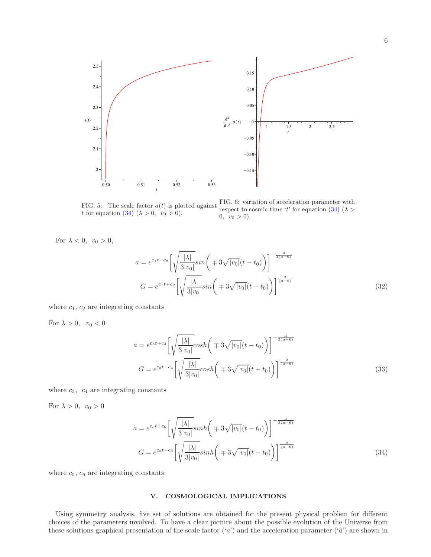

<span id="page-5-4"></span>FIG. 5: The scale factor  $a(t)$  is plotted against t for equation [\(34\)](#page-5-2)  $(\lambda > 0, v_0 > 0)$ . FIG. 6: variation of acceleration parameter with respect to cosmic time 't' for equation [\(34\)](#page-5-2) ( $\lambda$ )  $0, v_0 > 0$ .

For  $\lambda < 0$ ,  $v_0 > 0$ ,

<span id="page-5-3"></span><span id="page-5-0"></span>
$$
a = e^{c_1 t + c_2} \left[ \sqrt{\frac{|\lambda|}{3|v_0|}} sin \left( \mp 3\sqrt{|v_0|} (t - t_0) \right) \right]^{-\frac{\mu}{3(\mu - 6)}} G = e^{c_1 t + c_2} \left[ \sqrt{\frac{|\lambda|}{3|v_0|}} sin \left( \mp 3\sqrt{|v_0|} (t - t_0) \right) \right]^{\frac{2}{(\mu - 6)}}
$$
(32)

where  $c_1$ ,  $c_2$  are integrating constants

For  $\lambda > 0$ ,  $v_0 < 0$ 

<span id="page-5-1"></span>
$$
a = e^{c_3 t + c_4} \left[ \sqrt{\frac{|\lambda|}{3|v_0|}} \cosh\left(\mp 3\sqrt{|v_0|}(t - t_0)\right) \right]^{-\frac{\mu}{3(\mu - 6)}}
$$
  

$$
G = e^{c_3 t + c_4} \left[ \sqrt{\frac{|\lambda|}{3|v_0|}} \cosh\left(\mp 3\sqrt{|v_0|}(t - t_0)\right) \right]^{\frac{2}{(\mu - 6)}}
$$
(33)

where  $c_3$ ,  $c_4$  are integrating constants

For  $\lambda > 0$ ,  $v_0 > 0$ 

<span id="page-5-2"></span>
$$
a = e^{c_5 t + c_6} \left[ \sqrt{\frac{|\lambda|}{3|v_0|}} sinh \left( \mp 3\sqrt{|v_0|} (t - t_0) \right) \right]^{-\frac{\mu}{3(\mu - 6)}}
$$
  

$$
G = e^{c_5 t + c_6} \left[ \sqrt{\frac{|\lambda|}{3|v_0|}} sinh \left( \mp 3\sqrt{|v_0|} (t - t_0) \right) \right]^{\frac{2}{(\mu - 6)}}
$$
(34)

where  $c_5$ ,  $c_6$  are integrating constants.

# V. COSMOLOGICAL IMPLICATIONS

Using symmetry analysis, five set of solutions are obtained for the present physical problem for different choices of the parameters involved. To have a clear picture about the possible evolution of the Universe from these solutions graphical presentation of the scale factor  $(a')$  and the acceleration parameter  $(\ddot{a})$  are shown in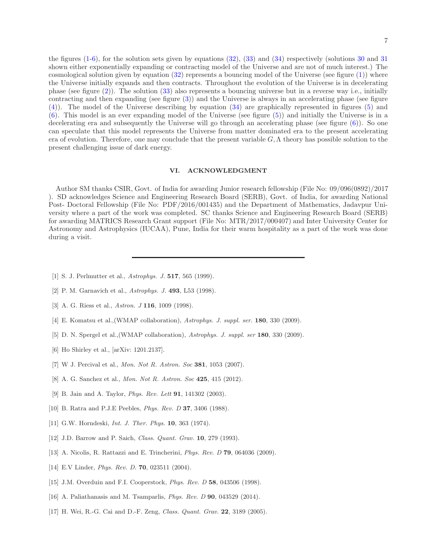the figures  $(1-6)$  $(1-6)$ , for the solution sets given by equations  $(32)$ ,  $(33)$  and  $(34)$  respectively (solutions [30](#page-3-3) and [31](#page-4-1)) shown either exponentially expanding or contracting model of the Universe and are not of much interest.) The cosmological solution given by equation  $(32)$  represents a bouncing model of the Universe (see figure  $(1)$ ) where the Universe initially expands and then contracts. Throughout the evolution of the Universe is in decelerating phase (see figure [\(2\)](#page-4-2)). The solution [\(33\)](#page-5-1) also represents a bouncing universe but in a reverse way i.e., initially contracting and then expanding (see figure [\(3\)](#page-4-3)) and the Universe is always in an accelerating phase (see figure [\(4\)](#page-4-4)). The model of the Universe describing by equation [\(34\)](#page-5-2) are graphically represented in figures [\(5\)](#page-5-4) and [\(6\)](#page-5-3). This model is an ever expanding model of the Universe (see figure [\(5\)](#page-5-4)) and initially the Universe is in a decelerating era and subsequently the Universe will go through an accelerating phase (see figure  $(6)$ ). So one can speculate that this model represents the Universe from matter dominated era to the present accelerating era of evolution. Therefore, one may conclude that the present variable  $G, \Lambda$  theory has possible solution to the present challenging issue of dark energy.

# VI. ACKNOWLEDGMENT

Author SM thanks CSIR, Govt. of India for awarding Junior research fellowship (File No: 09/096(0892)/2017 ). SD acknowledges Science and Engineering Research Board (SERB), Govt. of India, for awarding National Post- Doctoral Fellowship (File No: PDF/2016/001435) and the Department of Mathematics, Jadavpur University where a part of the work was completed. SC thanks Science and Engineering Research Board (SERB) for awarding MATRICS Research Grant support (File No: MTR/2017/000407) and Inter University Center for Astronomy and Astrophysics (IUCAA), Pune, India for their warm hospitality as a part of the work was done during a visit.

- <span id="page-6-0"></span>[1] S. J. Perlmutter et al., *Astrophys. J.* **517**, 565 (1999).
- [2] P. M. Garnavich et al., *Astrophys. J.* **493**, L53 (1998).
- <span id="page-6-1"></span>[3] A. G. Riess et al., *Astron.* J **116**, 1009 (1998).
- <span id="page-6-2"></span>[4] E. Komatsu et al.,(WMAP collaboration), Astrophys. J. suppl. ser. 180, 330 (2009).
- [5] D. N. Spergel et al.,(WMAP collaboration), Astrophys. J. suppl. ser 180, 330 (2009).
- <span id="page-6-3"></span>[6] Ho Shirley et al., [arXiv: 1201.2137].
- <span id="page-6-4"></span>[7] W J. Percival et al., *Mon. Not R. Astron. Soc* 381, 1053 (2007).
- <span id="page-6-5"></span>[8] A. G. Sanchez et al., Mon. Not R. Astron. Soc 425, 415 (2012).
- <span id="page-6-6"></span>[9] B. Jain and A. Taylor, Phys. Rev. Lett 91, 141302 (2003).
- <span id="page-6-7"></span>[10] B. Ratra and P.J.E Peebles, Phys. Rev. D 37, 3406 (1988).
- [11] G.W. Horndeski, *Int. J. Ther. Phys.* **10**, 363 (1974).
- [12] J.D. Barrow and P. Saich, *Class. Quant. Grav.* **10**, 279 (1993).
- [13] A. Nicolis, R. Rattazzi and E. Trincherini, Phys. Rev. D 79, 064036 (2009).
- [14] E.V Linder, *Phys. Rev. D.* **70**, 023511 (2004).
- [15] J.M. Overduin and F.I. Cooperstock, *Phys. Rev. D* 58, 043506 (1998).
- [16] A. Paliathanasis and M. Tsamparlis, Phys. Rev. D 90, 043529 (2014).
- [17] H. Wei, R.-G. Cai and D.-F. Zeng, Class. Quant. Grav. 22, 3189 (2005).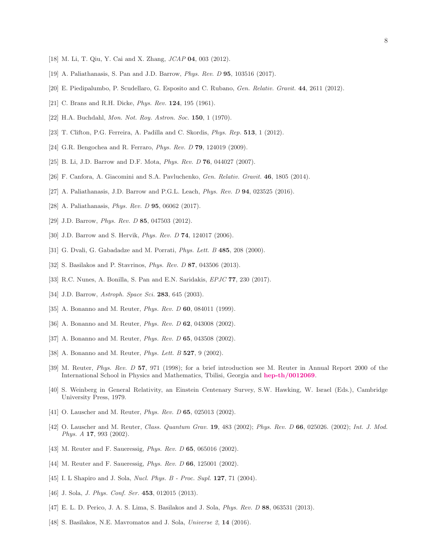- [18] M. Li, T. Qiu, Y. Cai and X. Zhang,  $JCAP$  04, 003 (2012).
- [19] A. Paliathanasis, S. Pan and J.D. Barrow, Phys. Rev. D **95**, 103516 (2017).
- <span id="page-7-0"></span>[20] E. Piedipalumbo, P. Scudellaro, G. Esposito and C. Rubano, Gen. Relativ. Gravit. 44, 2611 (2012).
- <span id="page-7-1"></span>[21] C. Brans and R.H. Dicke, *Phys. Rev.* **124**, 195 (1961).
- <span id="page-7-3"></span>[22] H.A. Buchdahl, *Mon. Not. Roy. Astron. Soc.* **150**, 1 (1970).
- [23] T. Clifton, P.G. Ferreira, A. Padilla and C. Skordis, Phys. Rep. 513, 1 (2012).
- [24] G.R. Bengochea and R. Ferraro, *Phys. Rev. D* **79**, 124019 (2009).
- [25] B. Li, J.D. Barrow and D.F. Mota, *Phys. Rev. D* **76**, 044027 (2007).
- [26] F. Canfora, A. Giacomini and S.A. Pavluchenko, Gen. Relativ. Gravit. 46, 1805 (2014).
- [27] A. Paliathanasis, J.D. Barrow and P.G.L. Leach, Phys. Rev. D 94, 023525 (2016).
- [28] A. Paliathanasis, *Phys. Rev. D* **95**, 06062 (2017).
- [29] J.D. Barrow, *Phys. Rev. D* 85, 047503 (2012).
- [30] J.D. Barrow and S. Hervik, *Phys. Rev. D* **74**, 124017 (2006).
- [31] G. Dvali, G. Gabadadze and M. Porrati, *Phys. Lett. B* 485, 208 (2000).
- [32] S. Basilakos and P. Stavrinos, Phys. Rev. D 87, 043506 (2013).
- <span id="page-7-2"></span>[33] R.C. Nunes, A. Bonilla, S. Pan and E.N. Saridakis, EPJC 77, 230 (2017).
- <span id="page-7-4"></span>[34] J.D. Barrow, Astroph. Space Sci. 283, 645 (2003).
- <span id="page-7-5"></span>[35] A. Bonanno and M. Reuter, *Phys. Rev. D* 60, 084011 (1999).
- [36] A. Bonanno and M. Reuter, *Phys. Rev. D* 62, 043008 (2002).
- [37] A. Bonanno and M. Reuter, *Phys. Rev. D* 65, 043508 (2002).
- <span id="page-7-6"></span>[38] A. Bonanno and M. Reuter, *Phys. Lett. B* 527, 9 (2002).
- <span id="page-7-7"></span>[39] M. Reuter, Phys. Rev. D 57, 971 (1998); for a brief introduction see M. Reuter in Annual Report 2000 of the International School in Physics and Mathematics, Tbilisi, Georgia and [hep-th/0012069](http://arxiv.org/abs/hep-th/0012069).
- <span id="page-7-8"></span>[40] S. Weinberg in General Relativity, an Einstein Centenary Survey, S.W. Hawking, W. Israel (Eds.), Cambridge University Press, 1979.
- <span id="page-7-9"></span>[41] O. Lauscher and M. Reuter, *Phys. Rev. D* **65**, 025013 (2002).
- [42] O. Lauscher and M. Reuter, Class. Quantum Grav. 19, 483 (2002); Phys. Rev. D 66, 025026. (2002); Int. J. Mod. Phys. A **17**, 993 (2002).
- [43] M. Reuter and F. Saueressig, *Phys. Rev. D* **65**, 065016 (2002).
- <span id="page-7-10"></span>[44] M. Reuter and F. Saueressig, *Phys. Rev. D* 66, 125001 (2002).
- <span id="page-7-11"></span>[45] I. L Shapiro and J. Sola, *Nucl. Phys. B - Proc. Supl.* **127**, 71 (2004).
- [46] J. Sola, *J. Phys. Conf. Ser.* **453**, 012015 (2013).
- [47] E. L. D. Perico, J. A. S. Lima, S. Basilakos and J. Sola, Phys. Rev. D 88, 063531 (2013).
- [48] S. Basilakos, N.E. Mavromatos and J. Sola, Universe 2, 14 (2016).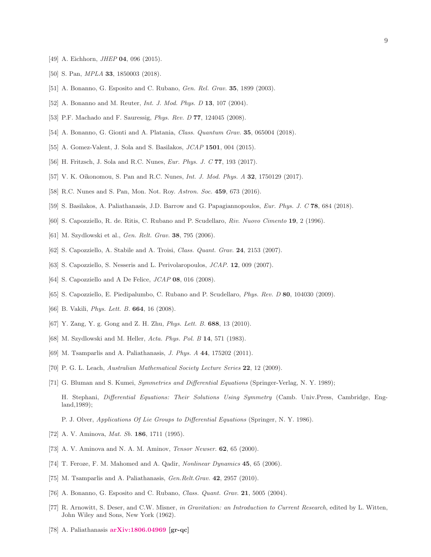- [49] A. Eichhorn, *JHEP* **04**, 096 (2015).
- [50] S. Pan, *MPLA* **33**, 1850003 (2018).
- [51] A. Bonanno, G. Esposito and C. Rubano, *Gen. Rel. Grav.* **35**, 1899 (2003).
- [52] A. Bonanno and M. Reuter, *Int. J. Mod. Phys. D* 13, 107 (2004).
- [53] P.F. Machado and F. Sauressig, *Phys. Rev. D* **77**, 124045 (2008).
- [54] A. Bonanno, G. Gionti and A. Platania, Class. Quantum Grav. 35, 065004 (2018).
- [55] A. Gomez-Valent, J. Sola and S. Basilakos, *JCAP* 1501, 004 (2015).
- [56] H. Fritzsch, J. Sola and R.C. Nunes, Eur. Phys. J. C 77, 193 (2017).
- [57] V. K. Oikonomou, S. Pan and R.C. Nunes, Int. J. Mod. Phys. A 32, 1750129 (2017).
- [58] R.C. Nunes and S. Pan, Mon. Not. Roy. Astron. Soc. 459, 673 (2016).
- <span id="page-8-0"></span>[59] S. Basilakos, A. Paliathanasis, J.D. Barrow and G. Papagiannopoulos, Eur. Phys. J. C 78, 684 (2018).
- <span id="page-8-1"></span>[60] S. Capozziello, R. de. Ritis, C. Rubano and P. Scudellaro, Riv. Nuovo Cimento 19, 2 (1996).
- [61] M. Szydlowski et al., Gen. Relt. Grav. 38, 795 (2006).
- [62] S. Capozziello, A. Stabile and A. Troisi, Class. Quant. Grav. 24, 2153 (2007).
- [63] S. Capozziello, S. Nesseris and L. Perivolaropoulos, JCAP. 12, 009 (2007).
- [64] S. Capozziello and A De Felice, *JCAP* 08, 016 (2008).
- [65] S. Capozziello, E. Piedipalumbo, C. Rubano and P. Scudellaro, Phys. Rev. D 80, 104030 (2009).
- [66] B. Vakili, *Phys. Lett. B.* **664**, 16 (2008).
- <span id="page-8-2"></span>[67] Y. Zang, Y. g. Gong and Z. H. Zhu, Phys. Lett. B. 688, 13 (2010).
- <span id="page-8-3"></span>[68] M. Szydlowski and M. Heller, Acta. Phys. Pol. B 14, 571 (1983).
- <span id="page-8-4"></span>[69] M. Tsamparlis and A. Paliathanasis, *J. Phys. A* **44**, 175202 (2011).
- [70] P. G. L. Leach, Australian Mathematical Society Lecture Series 22, 12 (2009).
- [71] G. Bluman and S. Kumei, *Symmetries and Differential Equations* (Springer-Verlag, N. Y. 1989);

H. Stephani, Differential Equations: Their Solutions Using Symmetry (Camb. Univ.Press, Cambridge, England,1989);

P. J. Olver, Applications Of Lie Groups to Differential Equations (Springer, N. Y. 1986).

- [72] A. V. Aminova, *Mat. Sb.* **186**, 1711 (1995).
- [73] A. V. Aminova and N. A. M. Aminov, *Tensor Newser*. **62**, 65 (2000).
- [74] T. Feroze, F. M. Mahomed and A. Qadir, Nonlinear Dynamics 45, 65 (2006).
- <span id="page-8-5"></span>[75] M. Tsamparlis and A. Paliathanasis, Gen.Relt.Grav. 42, 2957 (2010).
- <span id="page-8-6"></span>[76] A. Bonanno, G. Esposito and C. Rubano, Class. Quant. Grav. 21, 5005 (2004).
- <span id="page-8-7"></span>[77] R. Arnowitt, S. Deser, and C.W. Misner, in Gravitation: an Introduction to Current Research, edited by L. Witten, John Wiley and Sons, New York (1962).
- <span id="page-8-8"></span>[78] A. Paliathanasis  $arXiv:1806.04969$  [gr-qc]